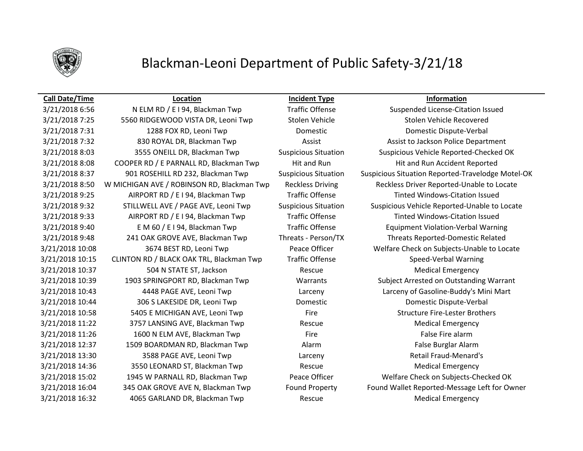

## Blackman-Leoni Department of Public Safety-3/21/18

3/21/2018 7:25 5560 RIDGEWOOD VISTA DR, Leoni Twp Stolen Vehicle Stolen Vehicle Recovered 3/21/2018 7:31 1288 FOX RD, Leoni Twp Domestic Domestic Dispute-Verbal 3/21/2018 7:32 830 ROYAL DR, Blackman Twp Assist Assist Assist to Jackson Police Department 3/21/2018 8:08 COOPER RD / E PARNALL RD, Blackman Twp Hit and Run Hit and Run Hit and Run Accident Reported 3/21/2018 9:25 AIRPORT RD / E I 94, Blackman Twp Traffic Offense Traffic Tratted Windows-Citation Issued 3/21/2018 9:33 AIRPORT RD / E I 94, Blackman Twp Traffic Offense Tinted Windows-Citation Issued 3/21/2018 9:40 E M 60 / E I 94, Blackman Twp Traffic Offense Equipment Violation-Verbal Warning 3/21/2018 9:48 241 OAK GROVE AVE, Blackman Twp Threats - Person/TX Threats Reported-Domestic Related 3/21/2018 10:15 CLINTON RD / BLACK OAK TRL, Blackman Twp Traffic Offense Speed-Verbal Warning 3/21/2018 10:37 504 N STATE ST, Jackson Rescue Medical Emergency 3/21/2018 10:44 306 S LAKESIDE DR, Leoni Twp Domestic Domestic Dispute-Verbal 3/21/2018 10:58 5405 E MICHIGAN AVE, Leoni Twp Fire Fire Structure Fire-Lester Brothers 3/21/2018 11:22 3757 LANSING AVE, Blackman Twp Rescue Medical Emergency 3/21/2018 11:26 1600 N ELM AVE, Blackman Twp Fire Fire Fire False Fire alarm 3/21/2018 12:37 1509 BOARDMAN RD, Blackman Twp **Alarm Alarm False Burglar Alarm** False Burglar Alarm 3/21/2018 13:30 3588 PAGE AVE, Leoni Twp Larceny Retail Fraud-Menard's 3/21/2018 14:36 3550 LEONARD ST, Blackman Twp Rescue Rescue Medical Emergency 3/21/2018 16:32 4065 GARLAND DR, Blackman Twp Rescue Medical Emergency

**Call Date/Time Location Incident Type Information**

3/21/2018 6:56 N ELM RD / E I 94, Blackman Twp Traffic Offense Suspended License-Citation Issued 3/21/2018 8:03 3555 ONEILL DR, Blackman Twp Suspicious Situation Suspicious Vehicle Reported-Checked OK 3/21/2018 8:37 901 ROSEHILL RD 232, Blackman Twp Suspicious Situation Suspicious Situation Reported-Travelodge Motel-OK 3/21/2018 8:50 W MICHIGAN AVE / ROBINSON RD, Blackman Twp Reckless Driving Reckless Driver Reported-Unable to Locate 3/21/2018 9:32 STILLWELL AVE / PAGE AVE, Leoni Twp Suspicious Situation Suspicious Vehicle Reported-Unable to Locate 3/21/2018 10:08 3674 BEST RD, Leoni Twp Peace Officer Welfare Check on Subjects-Unable to Locate 3/21/2018 10:39 1903 SPRINGPORT RD, Blackman Twp Warrants Subject Arrested on Outstanding Warrant 3/21/2018 10:43 4448 PAGE AVE, Leoni Twp Larceny Larceny of Gasoline-Buddy's Mini Mart 3/21/2018 15:02 1945 W PARNALL RD, Blackman Twp Peace Officer Welfare Check on Subjects-Checked OK 3/21/2018 16:04 345 OAK GROVE AVE N, Blackman Twp Found Property Found Wallet Reported-Message Left for Owner